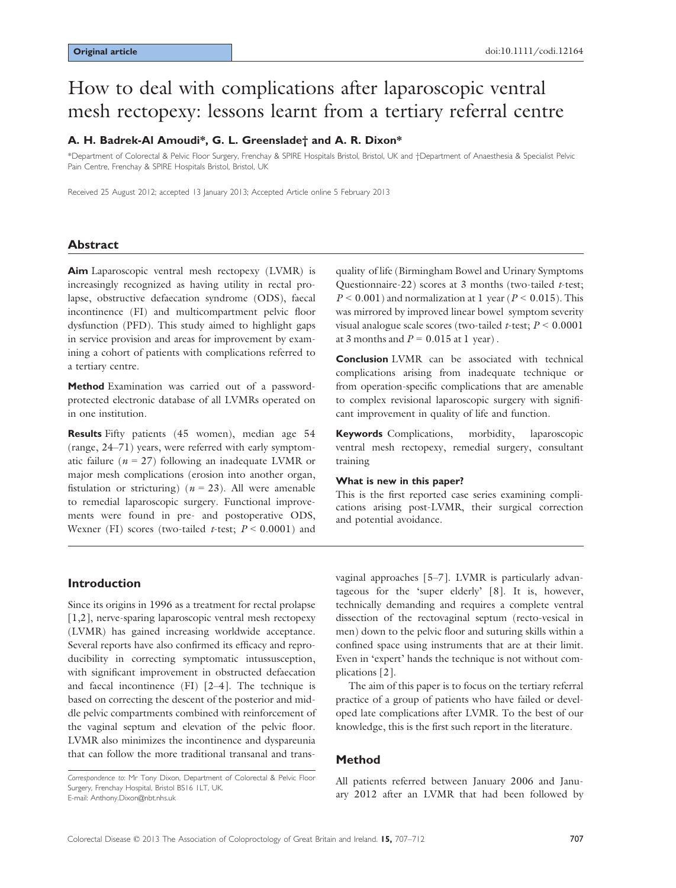# How to deal with complications after laparoscopic ventral mesh rectopexy: lessons learnt from a tertiary referral centre

## A. H. Badrek-Al Amoudi\*, G. L. Greenslade† and A. R. Dixon\*

\*Department of Colorectal & Pelvic Floor Surgery, Frenchay & SPIRE Hospitals Bristol, Bristol, UK and †Department of Anaesthesia & Specialist Pelvic Pain Centre, Frenchay & SPIRE Hospitals Bristol, Bristol, UK

Received 25 August 2012; accepted 13 January 2013; Accepted Article online 5 February 2013

## Abstract

Aim Laparoscopic ventral mesh rectopexy (LVMR) is increasingly recognized as having utility in rectal prolapse, obstructive defaecation syndrome (ODS), faecal incontinence (FI) and multicompartment pelvic floor dysfunction (PFD). This study aimed to highlight gaps in service provision and areas for improvement by examining a cohort of patients with complications referred to a tertiary centre.

Method Examination was carried out of a passwordprotected electronic database of all LVMRs operated on in one institution.

Results Fifty patients (45 women), median age 54 (range, 24–71) years, were referred with early symptomatic failure ( $n = 27$ ) following an inadequate LVMR or major mesh complications (erosion into another organ, fistulation or stricturing) ( $n = 23$ ). All were amenable to remedial laparoscopic surgery. Functional improvements were found in pre- and postoperative ODS, Wexner (FI) scores (two-tailed t-test;  $P < 0.0001$ ) and

quality of life (Birmingham Bowel and Urinary Symptoms Questionnaire-22) scores at 3 months (two-tailed  $t$ -test;  $P < 0.001$ ) and normalization at 1 year ( $P < 0.015$ ). This was mirrored by improved linear bowel symptom severity visual analogue scale scores (two-tailed  $t$ -test;  $P \le 0.0001$ at 3 months and  $P = 0.015$  at 1 year).

Conclusion LVMR can be associated with technical complications arising from inadequate technique or from operation-specific complications that are amenable to complex revisional laparoscopic surgery with significant improvement in quality of life and function.

Keywords Complications, morbidity, laparoscopic ventral mesh rectopexy, remedial surgery, consultant training

#### What is new in this paper?

This is the first reported case series examining complications arising post-LVMR, their surgical correction and potential avoidance.

## Introduction

Since its origins in 1996 as a treatment for rectal prolapse [1,2], nerve-sparing laparoscopic ventral mesh rectopexy (LVMR) has gained increasing worldwide acceptance. Several reports have also confirmed its efficacy and reproducibility in correcting symptomatic intussusception, with significant improvement in obstructed defaecation and faecal incontinence (FI) [2–4]. The technique is based on correcting the descent of the posterior and middle pelvic compartments combined with reinforcement of the vaginal septum and elevation of the pelvic floor. LVMR also minimizes the incontinence and dyspareunia that can follow the more traditional transanal and transvaginal approaches [5–7]. LVMR is particularly advantageous for the 'super elderly' [8]. It is, however, technically demanding and requires a complete ventral dissection of the rectovaginal septum (recto-vesical in men) down to the pelvic floor and suturing skills within a confined space using instruments that are at their limit. Even in 'expert' hands the technique is not without complications [2].

The aim of this paper is to focus on the tertiary referral practice of a group of patients who have failed or developed late complications after LVMR. To the best of our knowledge, this is the first such report in the literature.

## Method

All patients referred between January 2006 and January 2012 after an LVMR that had been followed by

Correspondence to: Mr Tony Dixon, Department of Colorectal & Pelvic Floor Surgery, Frenchay Hospital, Bristol BS16 1LT, UK. E-mail: Anthony.Dixon@nbt.nhs.uk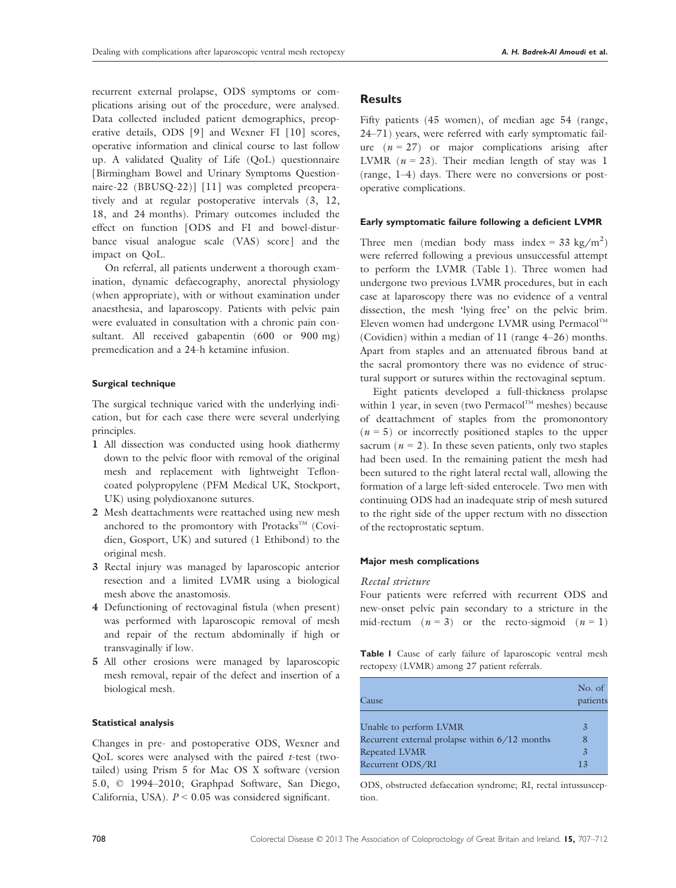recurrent external prolapse, ODS symptoms or complications arising out of the procedure, were analysed. Data collected included patient demographics, preoperative details, ODS [9] and Wexner FI [10] scores, operative information and clinical course to last follow up. A validated Quality of Life (QoL) questionnaire [Birmingham Bowel and Urinary Symptoms Questionnaire-22 (BBUSQ-22)] [11] was completed preoperatively and at regular postoperative intervals (3, 12, 18, and 24 months). Primary outcomes included the effect on function [ODS and FI and bowel-disturbance visual analogue scale (VAS) score] and the impact on QoL.

On referral, all patients underwent a thorough examination, dynamic defaecography, anorectal physiology (when appropriate), with or without examination under anaesthesia, and laparoscopy. Patients with pelvic pain were evaluated in consultation with a chronic pain consultant. All received gabapentin (600 or 900 mg) premedication and a 24-h ketamine infusion.

#### Surgical technique

The surgical technique varied with the underlying indication, but for each case there were several underlying principles.

- 1 All dissection was conducted using hook diathermy down to the pelvic floor with removal of the original mesh and replacement with lightweight Tefloncoated polypropylene (PFM Medical UK, Stockport, UK) using polydioxanone sutures.
- 2 Mesh deattachments were reattached using new mesh anchored to the promontory with Protacks<sup>TM</sup> (Covidien, Gosport, UK) and sutured (1 Ethibond) to the original mesh.
- 3 Rectal injury was managed by laparoscopic anterior resection and a limited LVMR using a biological mesh above the anastomosis.
- 4 Defunctioning of rectovaginal fistula (when present) was performed with laparoscopic removal of mesh and repair of the rectum abdominally if high or transvaginally if low.
- 5 All other erosions were managed by laparoscopic mesh removal, repair of the defect and insertion of a biological mesh.

### Statistical analysis

Changes in pre- and postoperative ODS, Wexner and QoL scores were analysed with the paired  $t$ -test (twotailed) using Prism 5 for Mac OS X software (version 5.0, © 1994–2010; Graphpad Software, San Diego, California, USA).  $P < 0.05$  was considered significant.

## Results

Fifty patients (45 women), of median age 54 (range, 24–71) years, were referred with early symptomatic failure  $(n = 27)$  or major complications arising after LVMR ( $n = 23$ ). Their median length of stay was 1 (range, 1–4) days. There were no conversions or postoperative complications.

#### Early symptomatic failure following a deficient LVMR

Three men (median body mass index =  $33 \text{ kg/m}^2$ ) were referred following a previous unsuccessful attempt to perform the LVMR (Table 1). Three women had undergone two previous LVMR procedures, but in each case at laparoscopy there was no evidence of a ventral dissection, the mesh 'lying free' on the pelvic brim. Eleven women had undergone LVMR using Permacol<sup>TM</sup> (Covidien) within a median of 11 (range 4–26) months. Apart from staples and an attenuated fibrous band at the sacral promontory there was no evidence of structural support or sutures within the rectovaginal septum.

Eight patients developed a full-thickness prolapse within 1 year, in seven (two Permacol<sup>TM</sup> meshes) because of deattachment of staples from the promonontory  $(n = 5)$  or incorrectly positioned staples to the upper sacrum ( $n = 2$ ). In these seven patients, only two staples had been used. In the remaining patient the mesh had been sutured to the right lateral rectal wall, allowing the formation of a large left-sided enterocele. Two men with continuing ODS had an inadequate strip of mesh sutured to the right side of the upper rectum with no dissection of the rectoprostatic septum.

#### Major mesh complications

#### Rectal stricture

Four patients were referred with recurrent ODS and new-onset pelvic pain secondary to a stricture in the mid-rectum  $(n = 3)$  or the recto-sigmoid  $(n = 1)$ 

Table I Cause of early failure of laparoscopic ventral mesh rectopexy (LVMR) among 27 patient referrals.

| Cause                                          | No. of<br>patients |
|------------------------------------------------|--------------------|
| Unable to perform LVMR                         | 3                  |
| Recurrent external prolapse within 6/12 months | 8                  |
| Repeated LVMR                                  | $\overline{3}$     |
| Recurrent ODS/RI                               | 13                 |

ODS, obstructed defaecation syndrome; RI, rectal intussusception.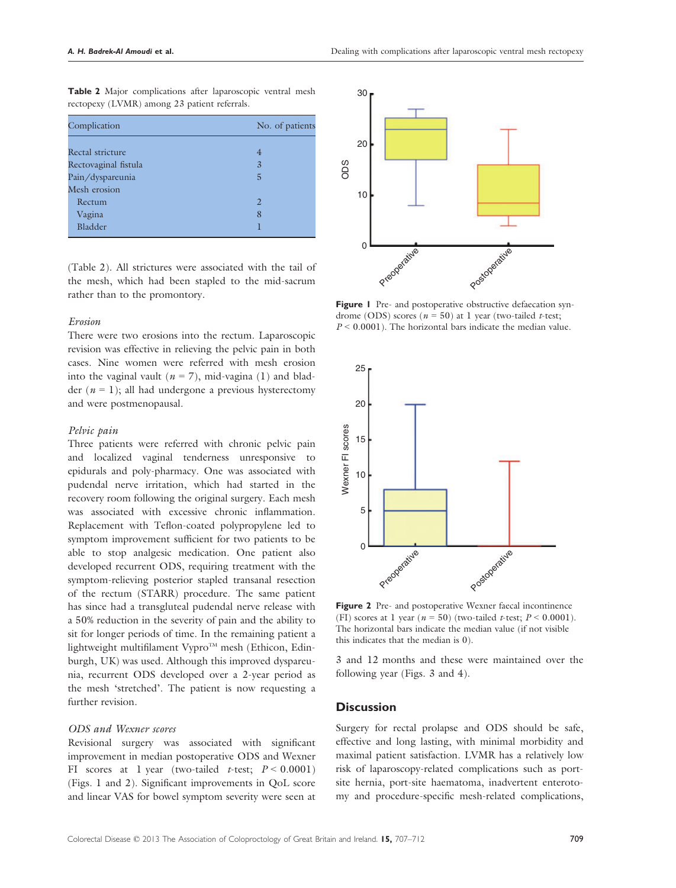| Complication         | No. of patients |
|----------------------|-----------------|
| Rectal stricture     | 4               |
|                      |                 |
| Rectovaginal fistula | 3               |
| Pain/dyspareunia     | 5               |
| Mesh erosion         |                 |
| Rectum               | 2               |
| Vagina               | 8               |
| Bladder              |                 |

Table 2 Major complications after laparoscopic ventral mesh rectopexy (LVMR) among 23 patient referrals.

(Table 2). All strictures were associated with the tail of the mesh, which had been stapled to the mid-sacrum rather than to the promontory.

## Erosion

There were two erosions into the rectum. Laparoscopic revision was effective in relieving the pelvic pain in both cases. Nine women were referred with mesh erosion into the vaginal vault ( $n = 7$ ), mid-vagina (1) and bladder ( $n = 1$ ); all had undergone a previous hysterectomy and were postmenopausal.

#### Pelvic pain

Three patients were referred with chronic pelvic pain and localized vaginal tenderness unresponsive to epidurals and poly-pharmacy. One was associated with pudendal nerve irritation, which had started in the recovery room following the original surgery. Each mesh was associated with excessive chronic inflammation. Replacement with Teflon-coated polypropylene led to symptom improvement sufficient for two patients to be able to stop analgesic medication. One patient also developed recurrent ODS, requiring treatment with the symptom-relieving posterior stapled transanal resection of the rectum (STARR) procedure. The same patient has since had a transgluteal pudendal nerve release with a 50% reduction in the severity of pain and the ability to sit for longer periods of time. In the remaining patient a lightweight multifilament Vypro $T^M$  mesh (Ethicon, Edinburgh, UK) was used. Although this improved dyspareunia, recurrent ODS developed over a 2-year period as the mesh 'stretched'. The patient is now requesting a further revision.

## ODS and Wexner scores

Revisional surgery was associated with significant improvement in median postoperative ODS and Wexner FI scores at 1 year (two-tailed t-test;  $P \le 0.0001$ ) (Figs. 1 and 2). Significant improvements in QoL score and linear VAS for bowel symptom severity were seen at



Figure 1 Pre- and postoperative obstructive defaecation syndrome (ODS) scores ( $n = 50$ ) at 1 year (two-tailed *t*-test;  $P < 0.0001$ ). The horizontal bars indicate the median value.



Figure 2 Pre- and postoperative Wexner faecal incontinence (FI) scores at 1 year ( $n = 50$ ) (two-tailed t-test;  $P < 0.0001$ ). The horizontal bars indicate the median value (if not visible this indicates that the median is 0).

3 and 12 months and these were maintained over the following year (Figs. 3 and 4).

## **Discussion**

Surgery for rectal prolapse and ODS should be safe, effective and long lasting, with minimal morbidity and maximal patient satisfaction. LVMR has a relatively low risk of laparoscopy-related complications such as portsite hernia, port-site haematoma, inadvertent enterotomy and procedure-specific mesh-related complications,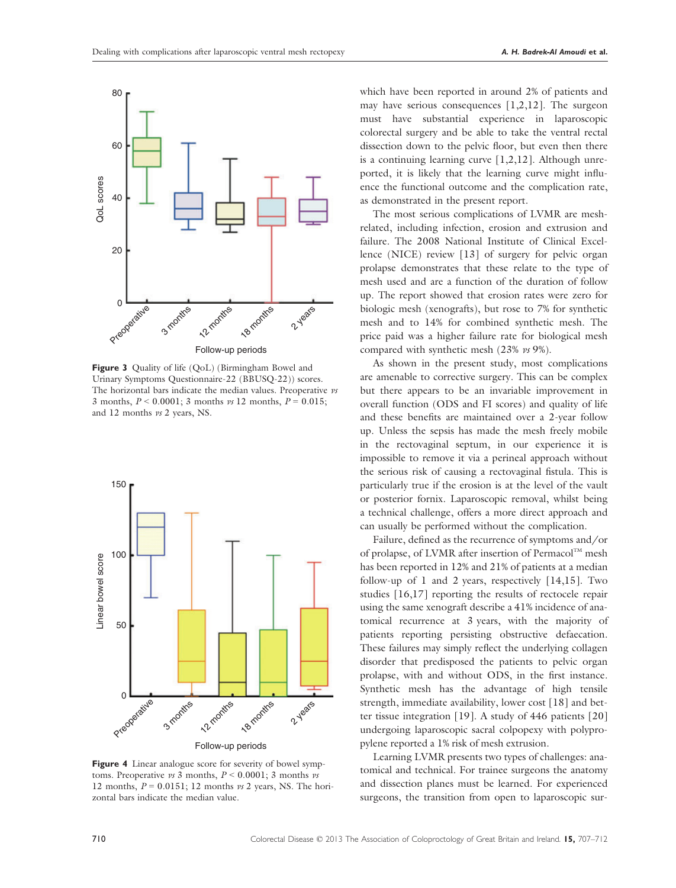

Figure 3 Quality of life (QoL) (Birmingham Bowel and Urinary Symptoms Questionnaire-22 (BBUSQ-22)) scores. The horizontal bars indicate the median values. Preoperative vs 3 months,  $P < 0.0001$ ; 3 months vs 12 months,  $P = 0.015$ ; and 12 months vs 2 years, NS.



Figure 4 Linear analogue score for severity of bowel symptoms. Preoperative vs 3 months,  $P \le 0.0001$ ; 3 months vs 12 months,  $P = 0.0151$ ; 12 months vs 2 years, NS. The horizontal bars indicate the median value.

which have been reported in around 2% of patients and may have serious consequences  $[1,2,12]$ . The surgeon must have substantial experience in laparoscopic colorectal surgery and be able to take the ventral rectal dissection down to the pelvic floor, but even then there is a continuing learning curve [1,2,12]. Although unreported, it is likely that the learning curve might influence the functional outcome and the complication rate, as demonstrated in the present report.

The most serious complications of LVMR are meshrelated, including infection, erosion and extrusion and failure. The 2008 National Institute of Clinical Excellence (NICE) review [13] of surgery for pelvic organ prolapse demonstrates that these relate to the type of mesh used and are a function of the duration of follow up. The report showed that erosion rates were zero for biologic mesh (xenografts), but rose to 7% for synthetic mesh and to 14% for combined synthetic mesh. The price paid was a higher failure rate for biological mesh compared with synthetic mesh (23% vs 9%).

As shown in the present study, most complications are amenable to corrective surgery. This can be complex but there appears to be an invariable improvement in overall function (ODS and FI scores) and quality of life and these benefits are maintained over a 2-year follow up. Unless the sepsis has made the mesh freely mobile in the rectovaginal septum, in our experience it is impossible to remove it via a perineal approach without the serious risk of causing a rectovaginal fistula. This is particularly true if the erosion is at the level of the vault or posterior fornix. Laparoscopic removal, whilst being a technical challenge, offers a more direct approach and can usually be performed without the complication.

Failure, defined as the recurrence of symptoms and/or of prolapse, of LVMR after insertion of Permacol™ mesh has been reported in 12% and 21% of patients at a median follow-up of 1 and 2 years, respectively [14,15]. Two studies [16,17] reporting the results of rectocele repair using the same xenograft describe a 41% incidence of anatomical recurrence at 3 years, with the majority of patients reporting persisting obstructive defaecation. These failures may simply reflect the underlying collagen disorder that predisposed the patients to pelvic organ prolapse, with and without ODS, in the first instance. Synthetic mesh has the advantage of high tensile strength, immediate availability, lower cost [18] and better tissue integration [19]. A study of 446 patients [20] undergoing laparoscopic sacral colpopexy with polypropylene reported a 1% risk of mesh extrusion.

Learning LVMR presents two types of challenges: anatomical and technical. For trainee surgeons the anatomy and dissection planes must be learned. For experienced surgeons, the transition from open to laparoscopic sur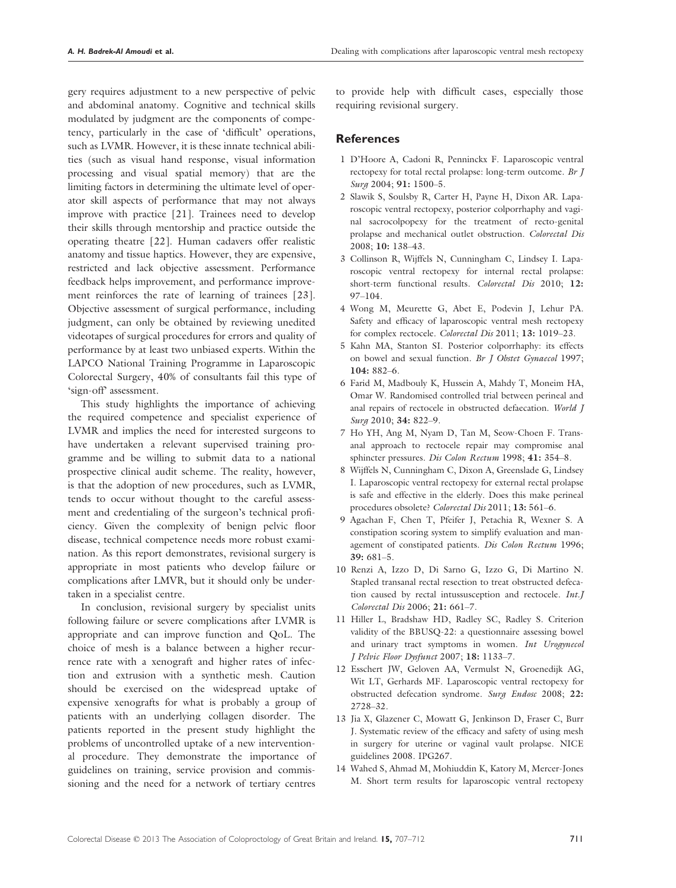gery requires adjustment to a new perspective of pelvic and abdominal anatomy. Cognitive and technical skills modulated by judgment are the components of competency, particularly in the case of 'difficult' operations, such as LVMR. However, it is these innate technical abilities (such as visual hand response, visual information processing and visual spatial memory) that are the limiting factors in determining the ultimate level of operator skill aspects of performance that may not always improve with practice [21]. Trainees need to develop their skills through mentorship and practice outside the operating theatre [22]. Human cadavers offer realistic anatomy and tissue haptics. However, they are expensive, restricted and lack objective assessment. Performance feedback helps improvement, and performance improvement reinforces the rate of learning of trainees [23]. Objective assessment of surgical performance, including judgment, can only be obtained by reviewing unedited videotapes of surgical procedures for errors and quality of performance by at least two unbiased experts. Within the LAPCO National Training Programme in Laparoscopic Colorectal Surgery, 40% of consultants fail this type of 'sign-off' assessment.

This study highlights the importance of achieving the required competence and specialist experience of LVMR and implies the need for interested surgeons to have undertaken a relevant supervised training programme and be willing to submit data to a national prospective clinical audit scheme. The reality, however, is that the adoption of new procedures, such as LVMR, tends to occur without thought to the careful assessment and credentialing of the surgeon's technical proficiency. Given the complexity of benign pelvic floor disease, technical competence needs more robust examination. As this report demonstrates, revisional surgery is appropriate in most patients who develop failure or complications after LMVR, but it should only be undertaken in a specialist centre.

In conclusion, revisional surgery by specialist units following failure or severe complications after LVMR is appropriate and can improve function and QoL. The choice of mesh is a balance between a higher recurrence rate with a xenograft and higher rates of infection and extrusion with a synthetic mesh. Caution should be exercised on the widespread uptake of expensive xenografts for what is probably a group of patients with an underlying collagen disorder. The patients reported in the present study highlight the problems of uncontrolled uptake of a new interventional procedure. They demonstrate the importance of guidelines on training, service provision and commissioning and the need for a network of tertiary centres

to provide help with difficult cases, especially those requiring revisional surgery.

## **References**

- 1 D'Hoore A, Cadoni R, Penninckx F. Laparoscopic ventral rectopexy for total rectal prolapse: long-term outcome. Br J Surg 2004; 91: 1500-5.
- 2 Slawik S, Soulsby R, Carter H, Payne H, Dixon AR. Laparoscopic ventral rectopexy, posterior colporrhaphy and vaginal sacrocolpopexy for the treatment of recto-genital prolapse and mechanical outlet obstruction. Colorectal Dis 2008; 10: 138–43.
- 3 Collinson R, Wijffels N, Cunningham C, Lindsey I. Laparoscopic ventral rectopexy for internal rectal prolapse: short-term functional results. Colorectal Dis 2010; 12: 97–104.
- 4 Wong M, Meurette G, Abet E, Podevin J, Lehur PA. Safety and efficacy of laparoscopic ventral mesh rectopexy for complex rectocele. Colorectal Dis 2011; 13: 1019–23.
- 5 Kahn MA, Stanton SI. Posterior colporrhaphy: its effects on bowel and sexual function. Br J Obstet Gynaecol 1997; 104: 882–6.
- 6 Farid M, Madbouly K, Hussein A, Mahdy T, Moneim HA, Omar W. Randomised controlled trial between perineal and anal repairs of rectocele in obstructed defaecation. World J Surg 2010; 34: 822–9.
- 7 Ho YH, Ang M, Nyam D, Tan M, Seow-Choen F. Transanal approach to rectocele repair may compromise anal sphincter pressures. Dis Colon Rectum 1998; 41: 354-8.
- 8 Wijffels N, Cunningham C, Dixon A, Greenslade G, Lindsey I. Laparoscopic ventral rectopexy for external rectal prolapse is safe and effective in the elderly. Does this make perineal procedures obsolete? Colorectal Dis 2011; 13: 561-6.
- 9 Agachan F, Chen T, Pfeifer J, Petachia R, Wexner S. A constipation scoring system to simplify evaluation and management of constipated patients. Dis Colon Rectum 1996; 39: 681–5.
- 10 Renzi A, Izzo D, Di Sarno G, Izzo G, Di Martino N. Stapled transanal rectal resection to treat obstructed defecation caused by rectal intussusception and rectocele. Int.J Colorectal Dis 2006; 21: 661–7.
- 11 Hiller L, Bradshaw HD, Radley SC, Radley S. Criterion validity of the BBUSQ-22: a questionnaire assessing bowel and urinary tract symptoms in women. Int Urogynecol J Pelvic Floor Dysfunct 2007; 18: 1133–7.
- 12 Esschert JW, Geloven AA, Vermulst N, Groenedijk AG, Wit LT, Gerhards MF. Laparoscopic ventral rectopexy for obstructed defecation syndrome. Surg Endosc 2008; 22: 2728–32.
- 13 Jia X, Glazener C, Mowatt G, Jenkinson D, Fraser C, Burr J. Systematic review of the efficacy and safety of using mesh in surgery for uterine or vaginal vault prolapse. NICE guidelines 2008. IPG267.
- 14 Wahed S, Ahmad M, Mohiuddin K, Katory M, Mercer-Jones M. Short term results for laparoscopic ventral rectopexy